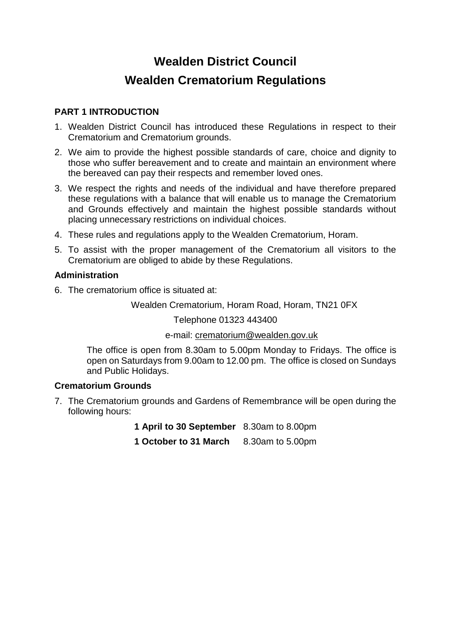# **Wealden District Council Wealden Crematorium Regulations**

# **PART 1 INTRODUCTION**

- 1. Wealden District Council has introduced these Regulations in respect to their Crematorium and Crematorium grounds.
- 2. We aim to provide the highest possible standards of care, choice and dignity to those who suffer bereavement and to create and maintain an environment where the bereaved can pay their respects and remember loved ones.
- 3. We respect the rights and needs of the individual and have therefore prepared these regulations with a balance that will enable us to manage the Crematorium and Grounds effectively and maintain the highest possible standards without placing unnecessary restrictions on individual choices.
- 4. These rules and regulations apply to the Wealden Crematorium, Horam.
- 5. To assist with the proper management of the Crematorium all visitors to the Crematorium are obliged to abide by these Regulations.

# **Administration**

6. The crematorium office is situated at:

Wealden Crematorium, Horam Road, Horam, TN21 0FX

Telephone 01323 443400

e-mail: [crematorium@wealden.gov.uk](mailto:crematorium@wealden.gov.uk)

The office is open from 8.30am to 5.00pm Monday to Fridays. The office is open on Saturdays from 9.00am to 12.00 pm. The office is closed on Sundays and Public Holidays.

# **Crematorium Grounds**

- 7. The Crematorium grounds and Gardens of Remembrance will be open during the following hours:
	- **1 April to 30 September** 8.30am to 8.00pm
	- **1 October to 31 March** 8.30am to 5.00pm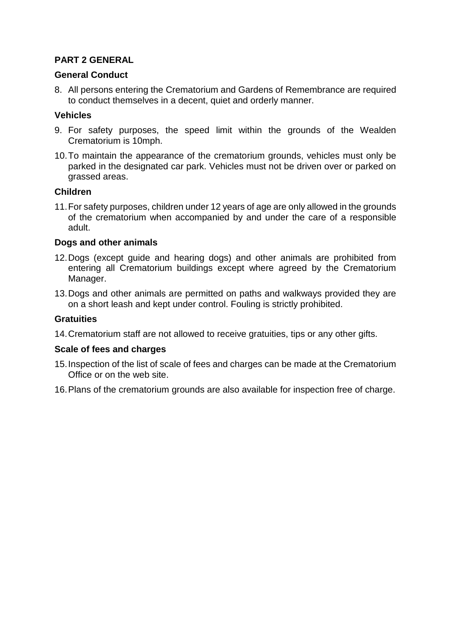# **PART 2 GENERAL**

#### **General Conduct**

8. All persons entering the Crematorium and Gardens of Remembrance are required to conduct themselves in a decent, quiet and orderly manner.

#### **Vehicles**

- 9. For safety purposes, the speed limit within the grounds of the Wealden Crematorium is 10mph.
- 10.To maintain the appearance of the crematorium grounds, vehicles must only be parked in the designated car park. Vehicles must not be driven over or parked on grassed areas.

#### **Children**

11.For safety purposes, children under 12 years of age are only allowed in the grounds of the crematorium when accompanied by and under the care of a responsible adult.

#### **Dogs and other animals**

- 12.Dogs (except guide and hearing dogs) and other animals are prohibited from entering all Crematorium buildings except where agreed by the Crematorium Manager.
- 13.Dogs and other animals are permitted on paths and walkways provided they are on a short leash and kept under control. Fouling is strictly prohibited.

#### **Gratuities**

14.Crematorium staff are not allowed to receive gratuities, tips or any other gifts.

#### **Scale of fees and charges**

- 15.Inspection of the list of scale of fees and charges can be made at the Crematorium Office or on the web site.
- 16.Plans of the crematorium grounds are also available for inspection free of charge.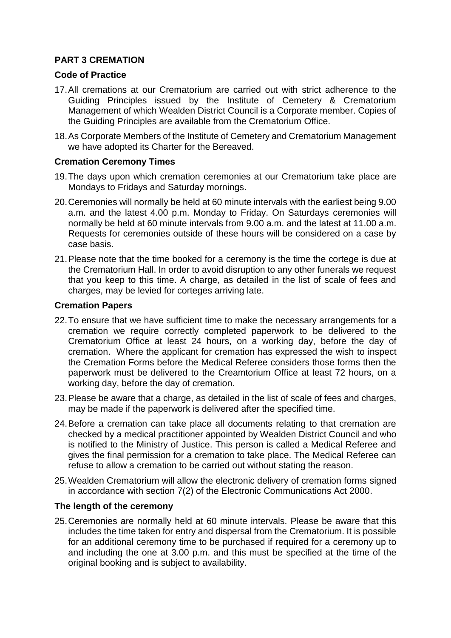# **PART 3 CREMATION**

## **Code of Practice**

- 17.All cremations at our Crematorium are carried out with strict adherence to the Guiding Principles issued by the Institute of Cemetery & Crematorium Management of which Wealden District Council is a Corporate member. Copies of the Guiding Principles are available from the Crematorium Office.
- 18.As Corporate Members of the Institute of Cemetery and Crematorium Management we have adopted its Charter for the Bereaved.

## **Cremation Ceremony Times**

- 19.The days upon which cremation ceremonies at our Crematorium take place are Mondays to Fridays and Saturday mornings.
- 20.Ceremonies will normally be held at 60 minute intervals with the earliest being 9.00 a.m. and the latest 4.00 p.m. Monday to Friday. On Saturdays ceremonies will normally be held at 60 minute intervals from 9.00 a.m. and the latest at 11.00 a.m. Requests for ceremonies outside of these hours will be considered on a case by case basis.
- 21.Please note that the time booked for a ceremony is the time the cortege is due at the Crematorium Hall. In order to avoid disruption to any other funerals we request that you keep to this time. A charge, as detailed in the list of scale of fees and charges, may be levied for corteges arriving late.

## **Cremation Papers**

- 22.To ensure that we have sufficient time to make the necessary arrangements for a cremation we require correctly completed paperwork to be delivered to the Crematorium Office at least 24 hours, on a working day, before the day of cremation. Where the applicant for cremation has expressed the wish to inspect the Cremation Forms before the Medical Referee considers those forms then the paperwork must be delivered to the Creamtorium Office at least 72 hours, on a working day, before the day of cremation.
- 23.Please be aware that a charge, as detailed in the list of scale of fees and charges, may be made if the paperwork is delivered after the specified time.
- 24.Before a cremation can take place all documents relating to that cremation are checked by a medical practitioner appointed by Wealden District Council and who is notified to the Ministry of Justice. This person is called a Medical Referee and gives the final permission for a cremation to take place. The Medical Referee can refuse to allow a cremation to be carried out without stating the reason.
- 25.Wealden Crematorium will allow the electronic delivery of cremation forms signed in accordance with section 7(2) of the Electronic Communications Act 2000.

# **The length of the ceremony**

25.Ceremonies are normally held at 60 minute intervals. Please be aware that this includes the time taken for entry and dispersal from the Crematorium. It is possible for an additional ceremony time to be purchased if required for a ceremony up to and including the one at 3.00 p.m. and this must be specified at the time of the original booking and is subject to availability.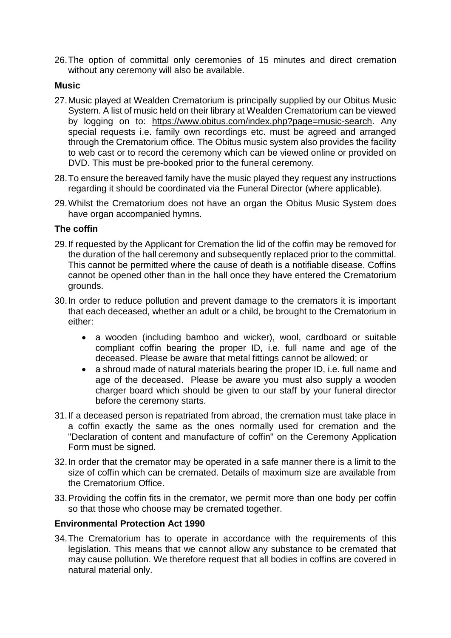26.The option of committal only ceremonies of 15 minutes and direct cremation without any ceremony will also be available.

#### **Music**

- 27.Music played at Wealden Crematorium is principally supplied by our Obitus Music System. A list of music held on their library at Wealden Crematorium can be viewed by logging on to: [https://www.obitus.com/index.php?page=music-search.](https://www.obitus.com/index.php?page=music-search) Any special requests i.e. family own recordings etc. must be agreed and arranged through the Crematorium office. The Obitus music system also provides the facility to web cast or to record the ceremony which can be viewed online or provided on DVD. This must be pre-booked prior to the funeral ceremony.
- 28.To ensure the bereaved family have the music played they request any instructions regarding it should be coordinated via the Funeral Director (where applicable).
- 29.Whilst the Crematorium does not have an organ the Obitus Music System does have organ accompanied hymns.

## **The coffin**

- 29.If requested by the Applicant for Cremation the lid of the coffin may be removed for the duration of the hall ceremony and subsequently replaced prior to the committal. This cannot be permitted where the cause of death is a notifiable disease. Coffins cannot be opened other than in the hall once they have entered the Crematorium grounds.
- 30.In order to reduce pollution and prevent damage to the cremators it is important that each deceased, whether an adult or a child, be brought to the Crematorium in either:
	- a wooden (including bamboo and wicker), wool, cardboard or suitable compliant coffin bearing the proper ID, i.e. full name and age of the deceased. Please be aware that metal fittings cannot be allowed; or
	- a shroud made of natural materials bearing the proper ID, i.e. full name and age of the deceased. Please be aware you must also supply a wooden charger board which should be given to our staff by your funeral director before the ceremony starts.
- 31.If a deceased person is repatriated from abroad, the cremation must take place in a coffin exactly the same as the ones normally used for cremation and the "Declaration of content and manufacture of coffin" on the Ceremony Application Form must be signed.
- 32.In order that the cremator may be operated in a safe manner there is a limit to the size of coffin which can be cremated. Details of maximum size are available from the Crematorium Office.
- 33.Providing the coffin fits in the cremator, we permit more than one body per coffin so that those who choose may be cremated together.

#### **Environmental Protection Act 1990**

34.The Crematorium has to operate in accordance with the requirements of this legislation. This means that we cannot allow any substance to be cremated that may cause pollution. We therefore request that all bodies in coffins are covered in natural material only.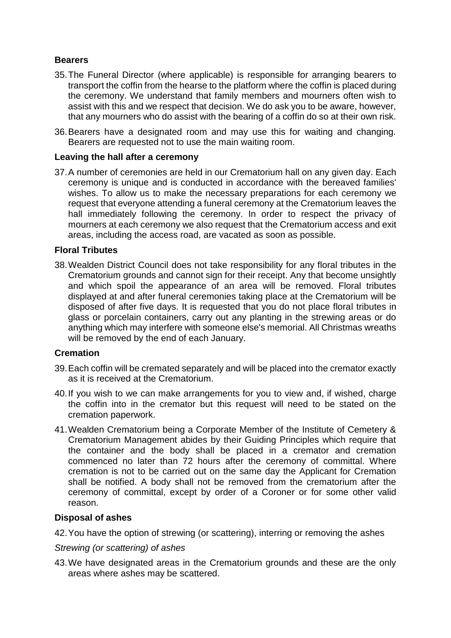## **Bearers**

- 35.The Funeral Director (where applicable) is responsible for arranging bearers to transport the coffin from the hearse to the platform where the coffin is placed during the ceremony. We understand that family members and mourners often wish to assist with this and we respect that decision. We do ask you to be aware, however, that any mourners who do assist with the bearing of a coffin do so at their own risk.
- 36.Bearers have a designated room and may use this for waiting and changing. Bearers are requested not to use the main waiting room.

#### **Leaving the hall after a ceremony**

37.A number of ceremonies are held in our Crematorium hall on any given day. Each ceremony is unique and is conducted in accordance with the bereaved families' wishes. To allow us to make the necessary preparations for each ceremony we request that everyone attending a funeral ceremony at the Crematorium leaves the hall immediately following the ceremony. In order to respect the privacy of mourners at each ceremony we also request that the Crematorium access and exit areas, including the access road, are vacated as soon as possible.

#### **Floral Tributes**

38.Wealden District Council does not take responsibility for any floral tributes in the Crematorium grounds and cannot sign for their receipt. Any that become unsightly and which spoil the appearance of an area will be removed. Floral tributes displayed at and after funeral ceremonies taking place at the Crematorium will be disposed of after five days. It is requested that you do not place floral tributes in glass or porcelain containers, carry out any planting in the strewing areas or do anything which may interfere with someone else's memorial. All Christmas wreaths will be removed by the end of each January.

#### **Cremation**

- 39.Each coffin will be cremated separately and will be placed into the cremator exactly as it is received at the Crematorium.
- 40.If you wish to we can make arrangements for you to view and, if wished, charge the coffin into in the cremator but this request will need to be stated on the cremation paperwork.
- 41.Wealden Crematorium being a Corporate Member of the Institute of Cemetery & Crematorium Management abides by their Guiding Principles which require that the container and the body shall be placed in a cremator and cremation commenced no later than 72 hours after the ceremony of committal. Where cremation is not to be carried out on the same day the Applicant for Cremation shall be notified. A body shall not be removed from the crematorium after the ceremony of committal, except by order of a Coroner or for some other valid reason.

#### **Disposal of ashes**

42.You have the option of strewing (or scattering), interring or removing the ashes

#### *Strewing (or scattering) of ashes*

43.We have designated areas in the Crematorium grounds and these are the only areas where ashes may be scattered.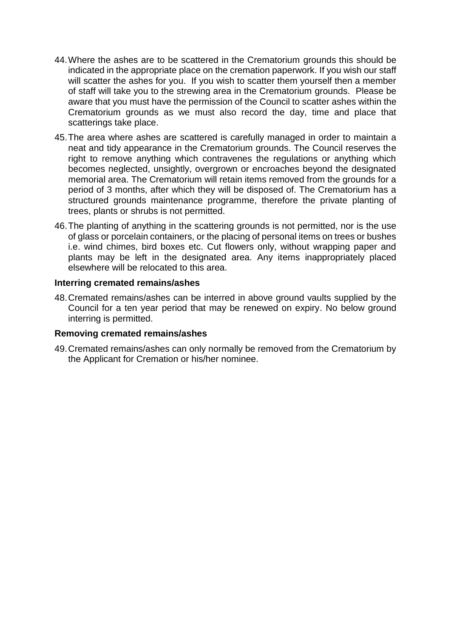- 44.Where the ashes are to be scattered in the Crematorium grounds this should be indicated in the appropriate place on the cremation paperwork. If you wish our staff will scatter the ashes for you. If you wish to scatter them yourself then a member of staff will take you to the strewing area in the Crematorium grounds. Please be aware that you must have the permission of the Council to scatter ashes within the Crematorium grounds as we must also record the day, time and place that scatterings take place.
- 45.The area where ashes are scattered is carefully managed in order to maintain a neat and tidy appearance in the Crematorium grounds. The Council reserves the right to remove anything which contravenes the regulations or anything which becomes neglected, unsightly, overgrown or encroaches beyond the designated memorial area. The Crematorium will retain items removed from the grounds for a period of 3 months, after which they will be disposed of. The Crematorium has a structured grounds maintenance programme, therefore the private planting of trees, plants or shrubs is not permitted.
- 46.The planting of anything in the scattering grounds is not permitted, nor is the use of glass or porcelain containers, or the placing of personal items on trees or bushes i.e. wind chimes, bird boxes etc. Cut flowers only, without wrapping paper and plants may be left in the designated area. Any items inappropriately placed elsewhere will be relocated to this area.

#### **Interring cremated remains/ashes**

48.Cremated remains/ashes can be interred in above ground vaults supplied by the Council for a ten year period that may be renewed on expiry. No below ground interring is permitted.

#### **Removing cremated remains/ashes**

49.Cremated remains/ashes can only normally be removed from the Crematorium by the Applicant for Cremation or his/her nominee.